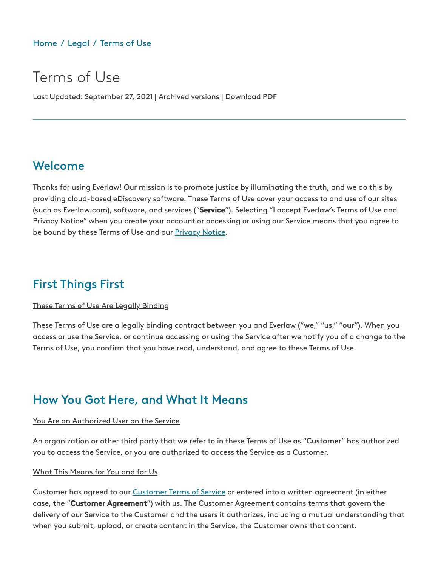### [Home](https://www.everlaw.com/) / [Legal](https://www.everlaw.com/legal-overview) / [Terms](https://www.everlaw.com/terms-of-use/) of Use

# Terms of Use

Last Updated: September 27, 2021 | Archived versions | Download PDF

### Welcome

Thanks for using Everlaw! Our mission is to promote justice by illuminating the truth, and we do this by providing cloud-based eDiscovery software. These Terms of Use cover your access to and use of our sites (such as Everlaw.com), software, and services ("Service"). Selecting "I accept Everlaw's Terms of Use and Privacy Notice" when you create your account or accessing or using our Service means that you agree to be bound by these Terms of Use and our [Privacy](https://www.everlaw.com/privacy/privacy-notice/) Notice.

### First Things First

#### These Terms of Use Are Legally Binding

These Terms of Use are a legally binding contract between you and Everlaw ("we," "us," "our"). When you access or use the Service, or continue accessing or using the Service after we notify you of a change to the Terms of Use, you confirm that you have read, understand, and agree to these Terms of Use.

### How You Got Here, and What It Means

#### You Are an Authorized User on the Service

An organization or other third party that we refer to in these Terms of Use as "Customer" has authorized you to access the Service, or you are authorized to access the Service as a Customer.

#### What This Means for You and for Us

[Customer](https://www.everlaw.com/legal/customer-terms-of-service) has agreed to our Customer Terms of Service or entered into a written agreement (in either case, the "Customer Agreement") with us. The Customer Agreement contains terms that govern the delivery of our Service to the Customer and the users it authorizes, including a mutual understanding that when you submit, upload, or create content in the Service, the Customer owns that content.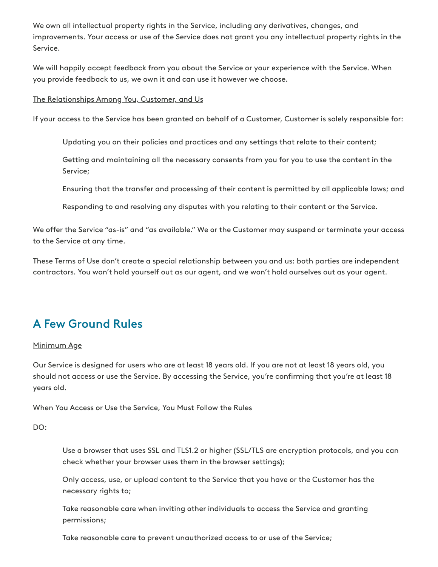We own all intellectual property rights in the Service, including any derivatives, changes, and improvements. Your access or use of the Service does not grant you any intellectual property rights in the Service.

We will happily accept feedback from you about the Service or your experience with the Service. When you provide feedback to us, we own it and can use it however we choose.

#### The Relationships Among You, Customer, and Us

If your access to the Service has been granted on behalf of a Customer, Customer is solely responsible for:

Updating you on their policies and practices and any settings that relate to their content;

Getting and maintaining all the necessary consents from you for you to use the content in the Service;

Ensuring that the transfer and processing of their content is permitted by all applicable laws; and

Responding to and resolving any disputes with you relating to their content or the Service.

We offer the Service "as-is" and "as available." We or the Customer may suspend or terminate your access to the Service at any time.

These Terms of Use don't create a special relationship between you and us: both parties are independent contractors. You won't hold yourself out as our agent, and we won't hold ourselves out as your agent.

## A Few Ground Rules

#### Minimum Age

Our Service is designed for users who are at least 18 years old. If you are not at least 18 years old, you should not access or use the Service. By accessing the Service, you're confirming that you're at least 18 years old.

#### When You Access or Use the Service, You Must Follow the Rules

DO:

Use a browser that uses SSL and TLS1.2 or higher (SSL/TLS are encryption protocols, and you can check whether your browser uses them in the browser settings);

Only access, use, or upload content to the Service that you have or the Customer has the necessary rights to;

Take reasonable care when inviting other individuals to access the Service and granting permissions;

Take reasonable care to prevent unauthorized access to or use of the Service;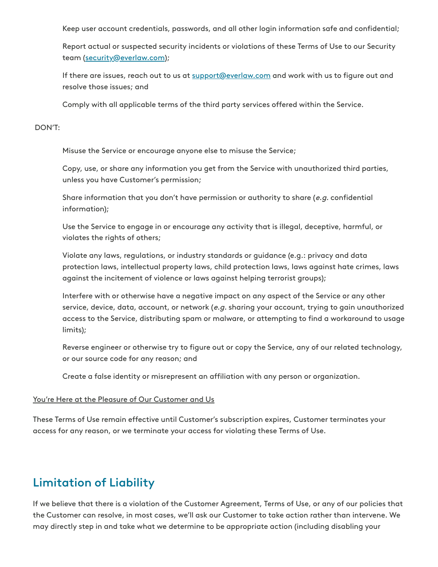Keep user account credentials, passwords, and all other login information safe and confidential;

Report actual or suspected security incidents or violations of these Terms of Use to our Security team ([security@everlaw.com\)](mailto:security@everlaw.com);

If there are issues, reach out to us at [support@everlaw.com](mailto:support@everlaw.com) and work with us to figure out and resolve those issues; and

Comply with all applicable terms of the third party services offered within the Service.

#### DON'T:

Misuse the Service or encourage anyone else to misuse the Service;

Copy, use, or share any information you get from the Service with unauthorized third parties, unless you have Customer's permission;

Share information that you don't have permission or authority to share (e.g. confidential information);

Use the Service to engage in or encourage any activity that is illegal, deceptive, harmful, or violates the rights of others;

Violate any laws, regulations, or industry standards or guidance (e.g.: privacy and data protection laws, intellectual property laws, child protection laws, laws against hate crimes, laws against the incitement of violence or laws against helping terrorist groups);

Interfere with or otherwise have a negative impact on any aspect of the Service or any other service, device, data, account, or network (e.g. sharing your account, trying to gain unauthorized access to the Service, distributing spam or malware, or attempting to find a workaround to usage limits);

Reverse engineer or otherwise try to figure out or copy the Service, any of our related technology, or our source code for any reason; and

Create a false identity or misrepresent an affiliation with any person or organization.

#### You're Here at the Pleasure of Our Customer and Us

These Terms of Use remain effective until Customer's subscription expires, Customer terminates your access for any reason, or we terminate your access for violating these Terms of Use.

# Limitation of Liability

If we believe that there is a violation of the Customer Agreement, Terms of Use, or any of our policies that the Customer can resolve, in most cases, we'll ask our Customer to take action rather than intervene. We may directly step in and take what we determine to be appropriate action (including disabling your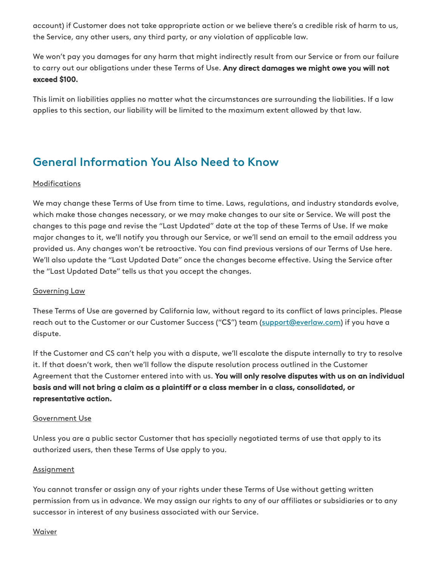account) if Customer does not take appropriate action or we believe there's a credible risk of harm to us, the Service, any other users, any third party, or any violation of applicable law.

We won't pay you damages for any harm that might indirectly result from our Service or from our failure to carry out our obligations under these Terms of Use. Any direct damages we might owe you will not exceed \$100.

This limit on liabilities applies no matter what the circumstances are surrounding the liabilities. If a law applies to this section, our liability will be limited to the maximum extent allowed by that law.

# General Information You Also Need to Know

#### **Modifications**

We may change these Terms of Use from time to time. Laws, regulations, and industry standards evolve, which make those changes necessary, or we may make changes to our site or Service. We will post the changes to this page and revise the "Last Updated" date at the top of these Terms of Use. If we make major changes to it, we'll notify you through our Service, or we'll send an email to the email address you provided us. Any changes won't be retroactive. You can find previous versions of our Terms of Use here. We'll also update the "Last Updated Date" once the changes become effective. Using the Service after the "Last Updated Date" tells us that you accept the changes.

#### Governing Law

These Terms of Use are governed by California law, without regard to its conflict of laws principles. Please reach out to the Customer or our Customer Success ("CS") team ([support@everlaw.com](mailto:support@everlaw.com)) if you have a dispute.

If the Customer and CS can't help you with a dispute, we'll escalate the dispute internally to try to resolve it. If that doesn't work, then we'll follow the dispute resolution process outlined in the Customer Agreement that the Customer entered into with us. You will only resolve disputes with us on an individual basis and will not bring a claim as a plaintiff or a class member in a class, consolidated, or representative action.

#### Government Use

Unless you are a public sector Customer that has specially negotiated terms of use that apply to its authorized users, then these Terms of Use apply to you.

#### **Assignment**

You cannot transfer or assign any of your rights under these Terms of Use without getting written permission from us in advance. We may assign our rights to any of our affiliates or subsidiaries or to any successor in interest of any business associated with our Service.

#### Waiver